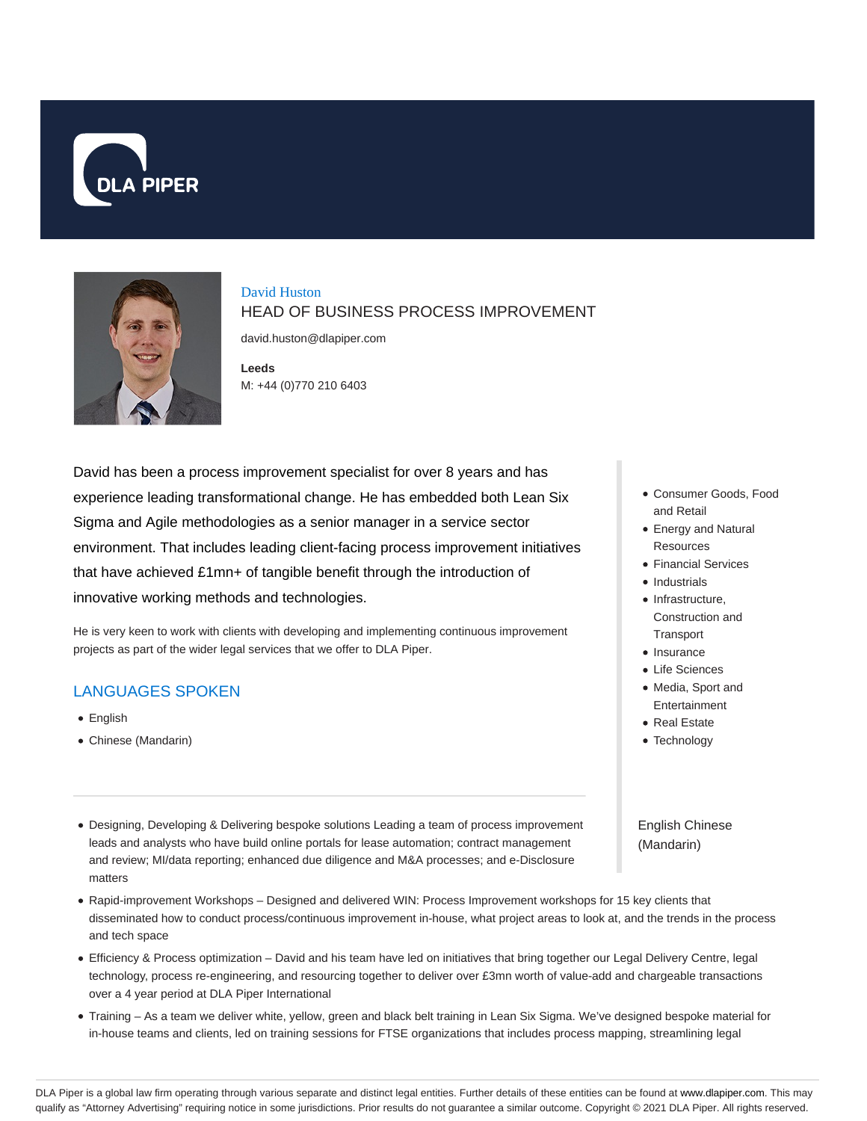



# David Huston HEAD OF BUSINESS PROCESS IMPROVEMENT

david.huston@dlapiper.com

**Leeds** M: +44 (0)770 210 6403

David has been a process improvement specialist for over 8 years and has experience leading transformational change. He has embedded both Lean Six Sigma and Agile methodologies as a senior manager in a service sector environment. That includes leading client-facing process improvement initiatives that have achieved £1mn+ of tangible benefit through the introduction of innovative working methods and technologies.

He is very keen to work with clients with developing and implementing continuous improvement projects as part of the wider legal services that we offer to DLA Piper.

## LANGUAGES SPOKEN

- English
- Chinese (Mandarin)
- Designing, Developing & Delivering bespoke solutions Leading a team of process improvement leads and analysts who have build online portals for lease automation; contract management and review; MI/data reporting; enhanced due diligence and M&A processes; and e-Disclosure matters
- Rapid-improvement Workshops Designed and delivered WIN: Process Improvement workshops for 15 key clients that disseminated how to conduct process/continuous improvement in-house, what project areas to look at, and the trends in the process and tech space
- Efficiency & Process optimization David and his team have led on initiatives that bring together our Legal Delivery Centre, legal technology, process re-engineering, and resourcing together to deliver over £3mn worth of value-add and chargeable transactions over a 4 year period at DLA Piper International
- Training As a team we deliver white, yellow, green and black belt training in Lean Six Sigma. We've designed bespoke material for in-house teams and clients, led on training sessions for FTSE organizations that includes process mapping, streamlining legal
- Consumer Goods, Food and Retail
- Energy and Natural Resources
- Financial Services
- Industrials
- $\bullet$  Infrastructure, Construction and **Transport**
- Insurance
- Life Sciences
- Media, Sport and **Entertainment**
- Real Estate
- Technology

English Chinese (Mandarin)